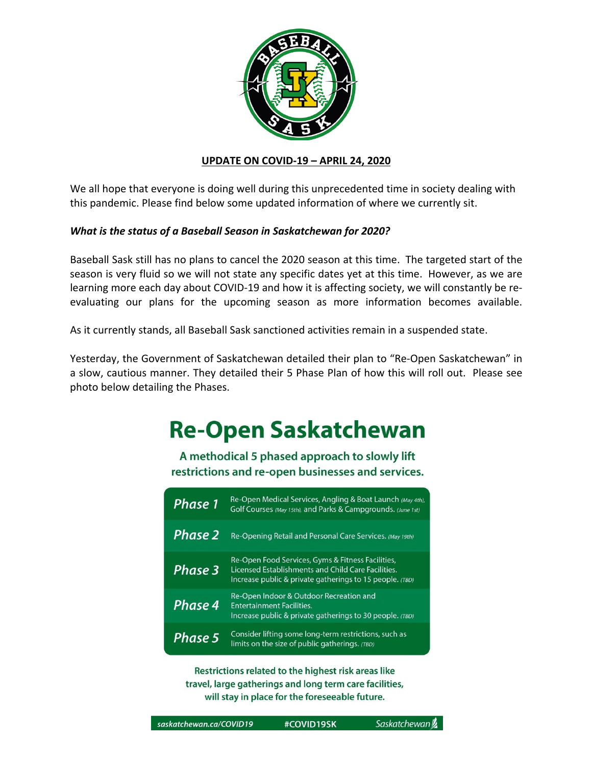

### **UPDATE ON COVID-19 – APRIL 24, 2020**

We all hope that everyone is doing well during this unprecedented time in society dealing with this pandemic. Please find below some updated information of where we currently sit.

## *What is the status of a Baseball Season in Saskatchewan for 2020?*

Baseball Sask still has no plans to cancel the 2020 season at this time. The targeted start of the season is very fluid so we will not state any specific dates yet at this time. However, as we are learning more each day about COVID-19 and how it is affecting society, we will constantly be reevaluating our plans for the upcoming season as more information becomes available.

As it currently stands, all Baseball Sask sanctioned activities remain in a suspended state.

Yesterday, the Government of Saskatchewan detailed their plan to "Re-Open Saskatchewan" in a slow, cautious manner. They detailed their 5 Phase Plan of how this will roll out. Please see photo below detailing the Phases.

# **Re-Open Saskatchewan**

A methodical 5 phased approach to slowly lift restrictions and re-open businesses and services.

| Phase 1 | Re-Open Medical Services, Angling & Boat Launch (May 4th),<br>Golf Courses (May 15th), and Parks & Campgrounds. (June 1st)                                          |
|---------|---------------------------------------------------------------------------------------------------------------------------------------------------------------------|
| Phase 2 | Re-Opening Retail and Personal Care Services. (May 19th)                                                                                                            |
| Phase 3 | Re-Open Food Services, Gyms & Fitness Facilities,<br>Licensed Establishments and Child Care Facilities.<br>Increase public & private gatherings to 15 people. (TBD) |
| Phase 4 | Re-Open Indoor & Outdoor Recreation and<br><b>Entertainment Facilities.</b><br>Increase public & private gatherings to 30 people. (TBD)                             |
| Phase 5 | Consider lifting some long-term restrictions, such as<br>limits on the size of public gatherings. (TBD)                                                             |

Restrictions related to the highest risk areas like travel, large gatherings and long term care facilities, will stay in place for the foreseeable future.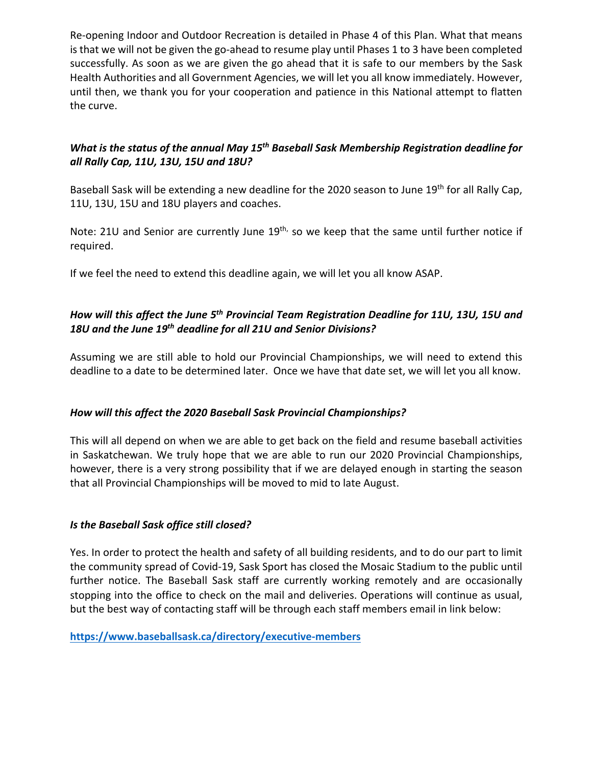Re-opening Indoor and Outdoor Recreation is detailed in Phase 4 of this Plan. What that means is that we will not be given the go-ahead to resume play until Phases 1 to 3 have been completed successfully. As soon as we are given the go ahead that it is safe to our members by the Sask Health Authorities and all Government Agencies, we will let you all know immediately. However, until then, we thank you for your cooperation and patience in this National attempt to flatten the curve.

## *What is the status of the annual May 15th Baseball Sask Membership Registration deadline for all Rally Cap, 11U, 13U, 15U and 18U?*

Baseball Sask will be extending a new deadline for the 2020 season to June 19<sup>th</sup> for all Rally Cap, 11U, 13U, 15U and 18U players and coaches.

Note: 21U and Senior are currently June 19<sup>th,</sup> so we keep that the same until further notice if required.

If we feel the need to extend this deadline again, we will let you all know ASAP.

# *How will this affect the June 5th Provincial Team Registration Deadline for 11U, 13U, 15U and 18U and the June 19th deadline for all 21U and Senior Divisions?*

Assuming we are still able to hold our Provincial Championships, we will need to extend this deadline to a date to be determined later. Once we have that date set, we will let you all know.

## *How will this affect the 2020 Baseball Sask Provincial Championships?*

This will all depend on when we are able to get back on the field and resume baseball activities in Saskatchewan. We truly hope that we are able to run our 2020 Provincial Championships, however, there is a very strong possibility that if we are delayed enough in starting the season that all Provincial Championships will be moved to mid to late August.

## *Is the Baseball Sask office still closed?*

Yes. In order to protect the health and safety of all building residents, and to do our part to limit the community spread of Covid-19, Sask Sport has closed the Mosaic Stadium to the public until further notice. The Baseball Sask staff are currently working remotely and are occasionally stopping into the office to check on the mail and deliveries. Operations will continue as usual, but the best way of contacting staff will be through each staff members email in link below:

## **https://www.baseballsask.ca/directory/executive-members**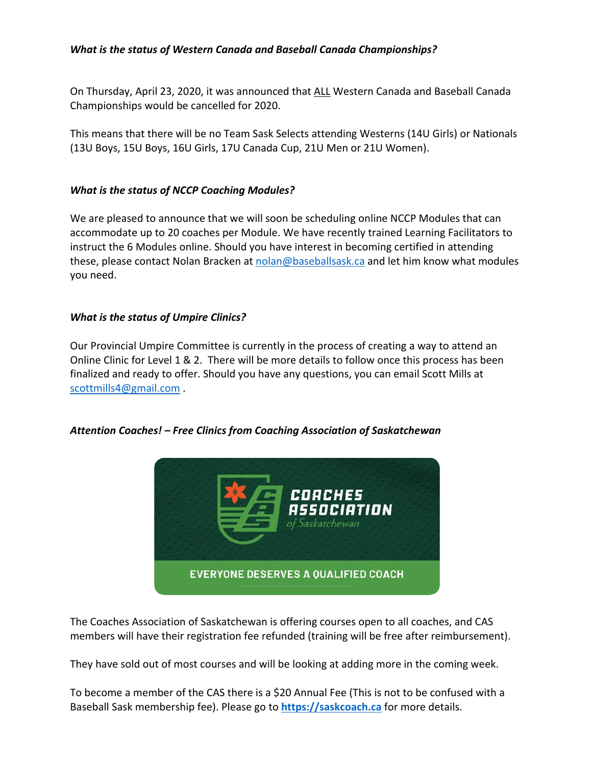## *What is the status of Western Canada and Baseball Canada Championships?*

On Thursday, April 23, 2020, it was announced that ALL Western Canada and Baseball Canada Championships would be cancelled for 2020.

This means that there will be no Team Sask Selects attending Westerns (14U Girls) or Nationals (13U Boys, 15U Boys, 16U Girls, 17U Canada Cup, 21U Men or 21U Women).

#### *What is the status of NCCP Coaching Modules?*

We are pleased to announce that we will soon be scheduling online NCCP Modules that can accommodate up to 20 coaches per Module. We have recently trained Learning Facilitators to instruct the 6 Modules online. Should you have interest in becoming certified in attending these, please contact Nolan Bracken at nolan@baseballsask.ca and let him know what modules you need.

#### *What is the status of Umpire Clinics?*

Our Provincial Umpire Committee is currently in the process of creating a way to attend an Online Clinic for Level 1 & 2. There will be more details to follow once this process has been finalized and ready to offer. Should you have any questions, you can email Scott Mills at scottmills4@gmail.com .

### *Attention Coaches! – Free Clinics from Coaching Association of Saskatchewan*



The Coaches Association of Saskatchewan is offering courses open to all coaches, and CAS members will have their registration fee refunded (training will be free after reimbursement).

They have sold out of most courses and will be looking at adding more in the coming week.

To become a member of the CAS there is a \$20 Annual Fee (This is not to be confused with a Baseball Sask membership fee). Please go to **https://saskcoach.ca** for more details.